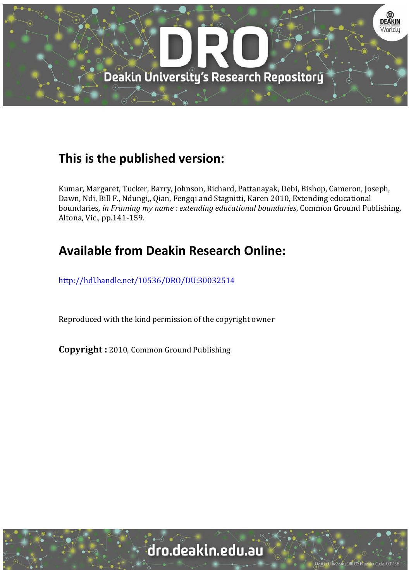

# **This is the published version:**

Kumar, Margaret, Tucker, Barry, Johnson, Richard, Pattanayak, Debi, Bishop, Cameron, Joseph, Dawn, Ndi, Bill F., Ndungi,, Qian, Fengqi and Stagnitti, Karen 2010, Extending educational boundaries*, in Framing my name : extending educational boundaries*, Common Ground Publishing, Altona, Vic., pp.141-159.

# **Available from Deakin Research Online:**

http://hdl.handle.net/10536/DRO/DU:30032514

Reproduced with the kind permission of the copyright owner

**Copyright** : 2010, Common Ground Publishing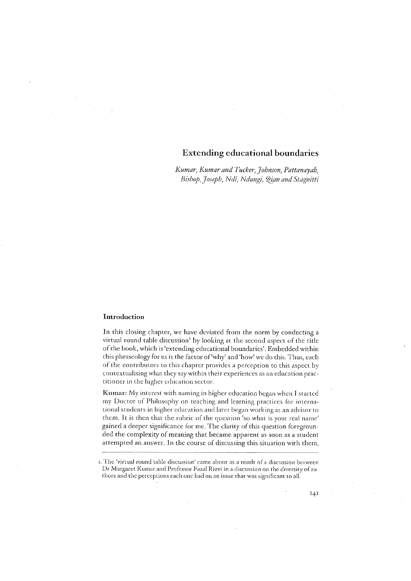# **Extending educational boundaries**

Kumar, Kumar and Tucker, Johnson, Pattanayak, Bishop, Joseph, Ndi, Ndungi, Qian and Stagnitti

## Introduction

In this closing chapter, we have deviated from the norm by conducting a virtual round table discussion<sup>1</sup> by looking at the second aspect of the title of the book, which is 'extending educational boundaries'. Embedded within this phraseology for us is the factor of 'why' and 'how' we do this. Thus, each of the contributors to this chapter provides a perception to this aspect by contextualising what they say within their experiences as an education practitioner in the higher education sector.

Kumar: My interest with naming in higher education began when I started my Doctor of Philosophy on teaching and learning practices for international students in higher education and later began working as an advisor to them. It is then that the rubric of the question 'so what is your real name' gained a deeper significance for me. The clarity of this question foregrounded the complexity of meaning that became apparent as soon as a student attempted an answer. In the course of discussing this situation with them,

 $141$ 

<sup>1.</sup> The 'virtual round table discussion' came about as a result of a discussion between Dr Margaret Kumar and Professor Fazal Rizvi in a discussion on the diversity of authors and the perceptions each one had on an issue that was significant to all.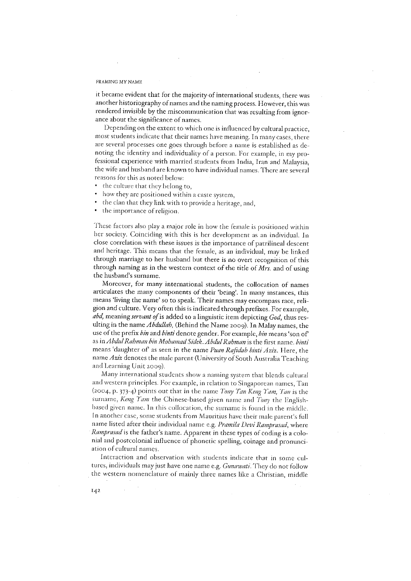it became evident that for the majority of international students, there was another historiography of names and the naming process. However, this was rendered invisible by the miscommunication that was resulting from ignorance about the significance of names.

Depending on the extent to which one is influenced by cultural practice, most students indicate that their names have meaning. In many cases, there are several processes one goes through before a name is established as denoting the identity and individuality of a person. For example, in my professional experience with married students from India, Iran and Malaysia, the wife and husband are known to have individual names. There are several reasons for this as noted below:

- the culture that they belong to,
- how they are positioned within a caste system,
- the clan that they link with to provide a heritage, and,
- the importance of religion.

These factors also play a major role in how the female is positioned within her society. Coinciding with this is her development as an individual. In close correlation with these issues is the importance of patrilineal descent and heritage. This means that the female, as an individual, may be linked through marriage to her husband but there is no overt recognition of this through naming as in the western context of the title of Mrs. and of using the husband's surname.

Moreover, for many international students, the collocation of names articulates the many components of their 'being'. In many instances, this means 'living the name' so to speak. Their names may encompass race, religion and culture. Very often this is indicated through prefixes. For example, abd, meaning servant of is added to a linguistic item depicting God, thus resulting in the name Abdullah, (Behind the Name 2009). In Malay names, the use of the prefix bin and binti denote gender. For example, bin means 'son of as in Abdul Rahman bin Mohamad Sidek. Abdul Rahman is the first name. binti means 'daughter of' as seen in the name Puan Rafidah binti Aziz. Here, the name Aziz denotes the male parent (University of South Australia Teaching and Learning Unit 2009).

Many international students show a naming system that blends cultural and western principles. For example, in relation to Singaporean names, Tan (2004, p. 373-4) points out that in the name Tony Tan Keng Yam, Tan is the surname, Keng Yam the Chinese-based given name and Tony the Englishbased given name. In this collocation, the surname is found in the middle. In another case, some students from Mauritius have their male parent's full name listed after their individual name e.g. Pramila Devi Ramprasad, where Ramprasad is the father's name. Apparent in these types of coding is a colonial and postcolonial influence of phonetic spelling, coinage and pronunciation of cultural names.

Interaction and observation with students indicate that in some cultures, individuals may just have one name e.g. Gunawati. They do not follow the western nomenclature of mainly three names like a Christian, middle

 $I42$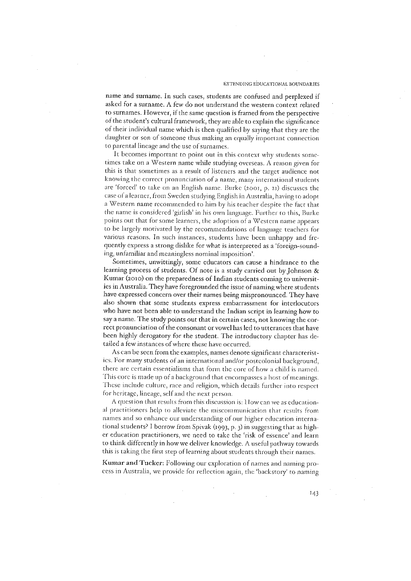### **EXTENDING EDUCATIONAL BOUNDARIES**

name and surname. In such cases, students are confused and perplexed if asked for a surname. A few do not understand the western context related to surnames. However, if the same question is framed from the perspective of the student's cultural framework, they are able to explain the significance of their individual name which is then qualified by saying that they are the daughter or son of someone thus making an equally important connection to parental lineage and the use of surnames.

It becomes important to point out in this context why students sometimes take on a Western name while studying overseas. A reason given for this is that sometimes as a result of listeners and the target audience not knowing the correct pronunciation of a name, many international students are 'forced' to take on an English name. Burke (2001, p. 21) discusses the case of a learner, from Sweden studying English in Australia, having to adopt a Western name recommended to him by his teacher despite the fact that the name is considered 'girlish' in his own language. Further to this, Burke points out that for some learners, the adoption of a Western name appears to be largely motivated by the recommendations of language teachers for various reasons. In such instances, students have been unhappy and frequently express a strong dislike for what is interpreted as a 'foreign-sounding, unfamiliar and meaningless nominal imposition'.

Sometimes, unwittingly, some educators can cause a hindrance to the learning process of students. Of note is a study carried out by Johnson & Kumar (2010) on the preparedness of Indian students coming to universities in Australia. They have foregrounded the issue of naming where students have expressed concern over their names being mispronounced. They have also shown that some students express embarrassment for interlocutors who have not been able to understand the Indian script in learning how to say a name. The study points out that in certain cases, not knowing the correct pronunciation of the consonant or vowel has led to utterances that have been highly derogatory for the student. The introductory chapter has detailed a few instances of where these have occurred.

As can be seen from the examples, names denote significant characteristics. For many students of an international and/or postcolonial background, there are certain essentialisms that form the core of how a child is named. This core is made up of a background that encompasses a host of meanings. These include culture, race and religion, which details further into respect for heritage, lineage, self and the next person.

A question that results from this discussion is: How can we as educational practitioners help to alleviate the miscommunication that results from names and so enhance our understanding of our higher education international students? I borrow from Spivak (1993, p. 3) in suggesting that as higher education practitioners, we need to take the 'risk of essence' and learn to think differently in how we deliver knowledge. A useful pathway towards this is taking the first step of learning about students through their names.

Kumar and Tucker: Following our exploration of names and naming process in Australia, we provide for reflection again, the 'backstory' to naming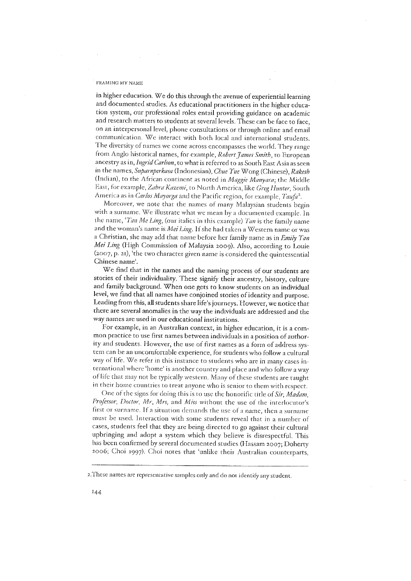in higher education. We do this through the avenue of experiential learning and documented studies. As educational practitioners in the higher education system, our professional roles entail providing guidance on academic and research matters to students at several levels. These can be face to face, on an interpersonal level, phone consultations or through online and email communication. We interact with both local and international students. The diversity of names we come across encompasses the world. They range from Anglo historical names, for example, *Robert James Smith*, to European ancestry as in, Ingrid Carlson, to what is referred to as South East Asia as seen in the names, Suparnperkasa (Indonesian), Chue Yue Wong (Chinese), Rakesh (Indian), to the African continent as noted in Maggie Manyara; the Middle East, for example, Zahra Kazemi, to North America, like Greg Hunter, South America as in Carlos Mayorga and the Pacific region, for example, Taufa<sup>2</sup>.

Moreover, we note that the names of many Malaysian students begin with a surname. We illustrate what we mean by a documented example. In the name, 'Tan Me Ling, (our italics in this example) Tan is the family name and the woman's name is *Mei Ling*. If she had taken a Western name or was a Christian, she may add that name before her family name as in Emily Tan Mei Ling (High Commission of Malaysia 2009). Also, according to Louie (2007, p. 21), 'the two character given name is considered the quintessential Chinese name'.

We find that in the names and the naming process of our students are stories of their individuality. These signify their ancestry, history, culture and family background. When one gets to know students on an individual level, we find that all names have conjoined stories of identity and purpose. Leading from this, all students share life's journeys. However, we notice that there are several anomalies in the way the individuals are addressed and the way names are used in our educational institutions.

For example, in an Australian context, in higher education, it is a common practice to use first names between individuals in a position of authority and students. However, the use of first names as a form of address system can be an uncomfortable experience, for students who follow a cultural way of life. We refer in this instance to students who are in many cases international where 'home' is another country and place and who follow a way of life that may not be typically western. Many of these students are taught in their home countries to treat anyone who is senior to them with respect.

One of the signs for doing this is to use the honorific title of Sir, Madam, Professor, Doctor, Mr, Mrs, and Miss without the use of the interlocutor's first or surname. If a situation demands the use of a name, then a surname must be used. Interaction with some students reveal that in a number of cases, students feel that they are being directed to go against their cultural upbringing and adopt a system which they believe is disrespectful. This has been confirmed by several documented studies (Hassam 2007; Doherty 2006; Choi 1997). Choi notes that 'unlike their Australian counterparts,

<sup>2.</sup> These names are representative samples only and do not identify any student.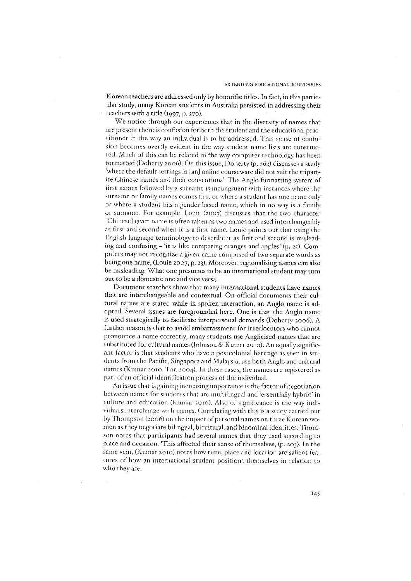Korean teachers are addressed only by honorific titles. In fact, in this particular study, many Korean students in Australia persisted in addressing their teachers with a fitle (1997, p. 270).

We notice through our experiences that in the diversity of names that are present there is confusion for both the student and the educational practitioner in the way an individual is to be addressed. This sense of confusion becomes overtly evident in the way student name lists are constructed. Much of this can be related to the way computer technology has been formatted (Doherty 2006). On this issue, Doherty (p. 262) discusses a study 'where the default settings in [an] online courseware did not suit the tripartite Chinese names and their conventions'. The Anglo formatting system of first names followed by a surname is incongruent with instances where the surname or family names comes first or where a student has one name only or where a student has a gender based name, which in no way is a family or surname. For example, Louie (2007) discusses that the two character [Chinese] given name is often taken as two names and used interchangeably as first and second when it is a first name. Louie points out that using the English language terminology to describe it as first and second is misleading and confusing - 'it is like comparing oranges and apples' (p. 21). Computers may not recognize a given name composed of two separate words as being one name, (Louie 2007, p. 23). Moreover, regionalising names can also be misleading. What one presumes to be an international student may turn out to be a domestic one and vice versa.

Document searches show that many international students have names that are interchangeable and contextual. On official documents their cultural names are stated while in spoken interaction, an Anglo name is adopted. Several issues are foregrounded here. One is that the Anglo name is used strategically to facilitate interpersonal demands (Doherty 2006). A further reason is that to avoid embarrassment for interlocutors who cannot pronounce a name correctly, many students use Anglicised names that are substituted for cultural names (Johnson & Kumar 2010). An equally significant factor is that students who have a postcolonial heritage as seen in students from the Pacific, Singapore and Malaysia, use both Anglo and cultural names (Kumar 2010; Tan 2004). In these cases, the names are registered as part of an official identification process of the individual.

An issue that is gaining increasing importance is the factor of negotiation between names for students that are multilingual and 'essentially hybrid' in culture and education (Kumar 2010). Also of significance is the way individuals interchange with names. Correlating with this is a study carried out by Thompson (2006) on the impact of personal names on three Korean women as they negotiate bilingual, bicultural, and binominal identities. Thomson notes that participants had several names that they used according to place and occasion. This affected their sense of themselves, (p. 203). In the same vein, (Kumar 2010) notes how time, place and location are salient features of how an international student positions themselves in relation to who they are.

145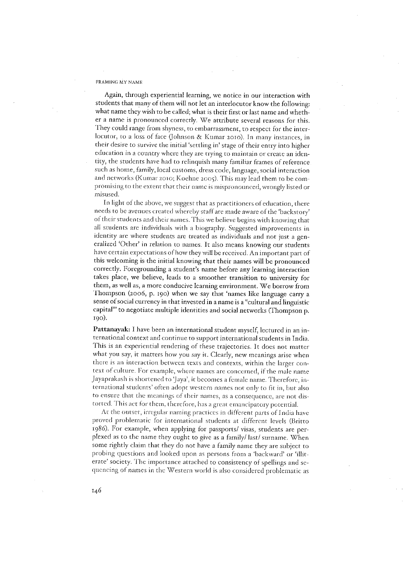Again, through experiential learning, we notice in our interaction with students that many of them will not let an interlocutor know the following: what name they wish to be called; what is their first or last name and whether a name is pronounced correctly. We attribute several reasons for this. They could range from shyness, to embarrassment, to respect for the interlocutor, to a loss of face (Johnson & Kumar 2010). In many instances, in their desire to survive the initial 'settling in' stage of their entry into higher education in a country where they are trying to maintain or create an identity, the students have had to relinquish many familiar frames of reference. such as home, family, local customs, dress code, language, social interaction and networks (Kumar 2010; Koehne 2005). This may lead them to be compromising to the extent that their name is mispronounced, wrongly listed or misused.

In light of the above, we suggest that as practitioners of education, there needs to be avenues created whereby staff are made aware of the 'backstory' of their students and their names. This we believe begins with knowing that all students are individuals with a biography. Suggested improvements in identity are where students are treated as individuals and not just a generalized 'Other' in relation to names. It also means knowing our students have certain expectations of how they will be received. An important part of this welcoming is the initial knowing that their names will be pronounced correctly. Foregrounding a student's name before any learning interaction takes place, we believe, leads to a smoother transition to university for them, as well as, a more conducive learning environment. We borrow from Thompson (2006, p. 190) when we say that 'names like language carry a sense of social currency in that invested in a name is a "cultural and linguistic capital" to negotiate multiple identities and social networks (Thompson p. 190).

Pattanayak: I have been an international student myself, lectured in an international context and continue to support international students in India. This is an experiential rendering of these trajectories. It does not matter what you say, it matters how you say it. Clearly, new meanings arise when there is an interaction between texts and contexts, within the larger context of culture. For example, where names are concerned, if the male name Jayaprakash is shortened to 'Jaya', it becomes a female name. Therefore, international students' often adopt western names not only to fit in, but also to ensure that the meanings of their names, as a consequence, are not distorted. This act for them, therefore, has a great emancipatory potential.

At the outset, irregular naming practices in different parts of India have proved problematic for international students at different levels (Britto 1986). For example, when applying for passports/ visas, students are perplexed as to the name they ought to give as a family/last/surname. When some rightly claim that they do not have a family name they are subject to probing questions and looked upon as persons from a 'backward' or 'illiterate' society. The importance attached to consistency of spellings and sequencing of names in the Western world is also considered problematic as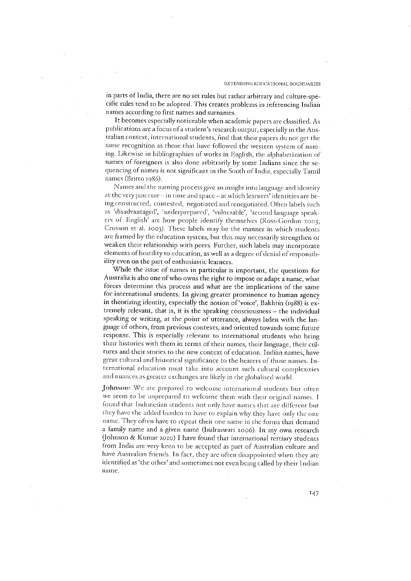in parts of India, there are no set rules but rather arbitrary and culture-specific rules tend to be adopted. This creates problems in referencing Indian names according to first names and surnames.

It becomes especially noticeable when academic papers are classified. As publications are a focus of a student's research output, especially in the Australian context, international students, find that their papers do not get the same recognition as those that have followed the western system of naming. Likewise in bibliographies of works in English, the alphabetization of names of foreigners is also done arbitrarily by some Indians since the sequencing of names is not significant in the South of India, especially Tamil names (Britto 1986).

Names and the naming process give an insight into language and identity at the very juncture - in time and space - at which learners' identities are being constructed, contested, negotiated and renegotiated. Often labels such as 'disadvantaged', 'underprepared', 'vulnerable', 'second language speakers of English' are how people identify themselves (Ross-Gordon 2003; Crosson et al. 2003). These labels may be the manner in which students are framed by the education system, but this may necessarily strengthen or weaken their relationship with peers. Further, such labels may incorporate elements of hostility to education, as well as a degree of denial of responsibility even on the part of enthusiastic learners.

While the issue of names in particular is important, the questions for Australia is also one of who owns the right to impose or adapt a name, what forces determine this process and what are the implications of the same for international students. In giving greater prominence to human agency in theorizing identity, especially the notion of 'voice', Bakhtin (1988) is extremely relevant, that is, it is the speaking consciousness - the individual speaking or writing, at the point of utterance, always laden with the language of others, from previous contexts, and oriented towards some future response. This is especially relevant to international students who bring their histories with them in terms of their names, their language, their cultures and their stories to the new context of education. Indian names, have great cultural and historical significance to the bearers of those names. International education must take into account such cultural complexities and nuances as greater exchanges are likely in the globalised world.

Johnson: We are prepared to welcome international students but often we seem to be unprepared to welcome them with their original names. I found that Indonesian students not only have names that are different but they have the added burden to have to explain why they have only the one name. They often have to repeat their one name in the forms that demand a family name and a given name (Indraswari 2006). In my own research (Johnson & Kumar 2010) I have found that international tertiary students from India are very keen to be accepted as part of Australian culture and have Australian friends. In fact, they are often disappointed when they are identified as 'the other' and sometimes not even being called by their Indian name.

 $147$